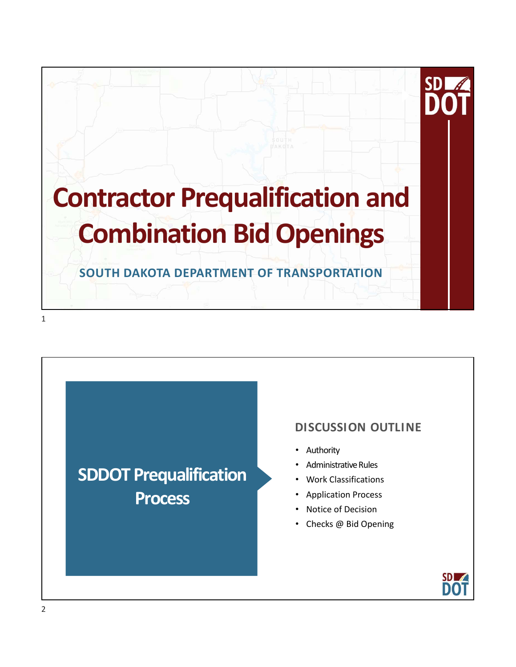

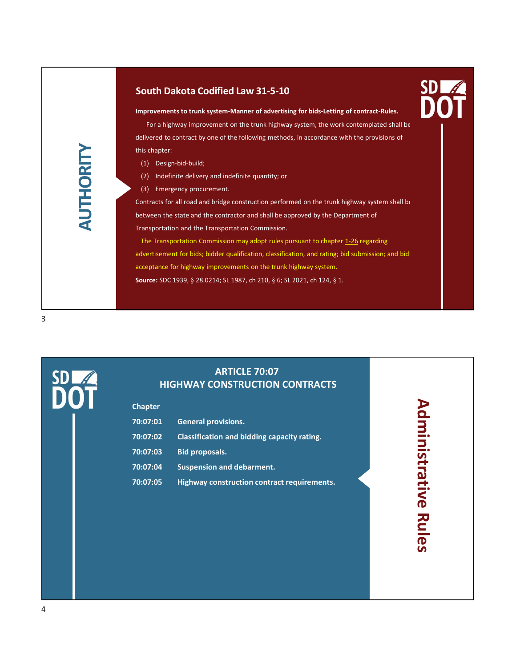# South Dakota Codified Law 31-5-10<br>
Improvements to trunk system-Manner of advertising for bids-Letting of contract-Rules.<br>
Improvements to trunk system-Manner of advertising for bids-Letting of contract-Rules. Improvements to trunk system-Manner of advertising for bids-Letting of contract-Rules.

For a highway improvement on the trunk highway system, the work contemplated shall be delivered to contract by one of the following methods, in accordance with the provisions of this chapter: outh Dakota Codified Law 31-5-10<br>
supprovements to trunk system-Manner of advertising for bids-Letting of contract-Rules.<br>
For a highway improvement on the trunk highway system, the work contemplated shall be<br>
slivered to

- 
- 
- 

this chapter:<br>
(1) Design-bid-build;<br>
(2) Indefinite delivery and inde<br>
(3) Emergency procurement.<br>
Contracts for all road and bridge c<br>
between the state and the contract<br>
Transportation and the Transportation Outh Dakota Codified Law 31-5-10<br>provements to trunk system-Manner of advertising for bids-Letting of contract-Rules.<br>For a highway improvement on the trunk highway system, the work contemplated shall be<br>elivered to contra **Solution Constant Constant Constant Constant Constant Constant Constant Constant Constant Constant Provenents to trunk system-Manner of advertising for bids-Letting of contract-Rules.<br>
For a highway improvement on the tru** Contracts for all road and bridge construction performed on the trunk highway system shall be between the state and the contractor and shall be approved by the Department of Transportation and the Transportation Commission.

**SD and the Transportation Commission may adopt rules pursuant to chapter and the Contract-Rules.**<br>
For a highway improvement on the trunk highway system, the work contemplated shall be<br>
slichted to contract by one of the advertisement for bids; bidder qualification, classification, and rating; bid submission; and bid acceptance for highway improvements on the trunk highway system. Source: SDC 1939, § 28.0214; SL 1987, ch 210, § 6; SL 2021, ch 124, § 1.

3

SDL<sub>4</sub>

# ARTICLE 70:07 HIGHWAY CONSTRUCTION CONTRACTS

|                | between the state and the contractor and shall be approved by the Department of                   |                       |  |
|----------------|---------------------------------------------------------------------------------------------------|-----------------------|--|
|                | Transportation and the Transportation Commission.                                                 |                       |  |
|                | The Transportation Commission may adopt rules pursuant to chapter 1-26 regarding                  |                       |  |
|                | advertisement for bids; bidder qualification, classification, and rating; bid submission; and bid |                       |  |
|                | acceptance for highway improvements on the trunk highway system.                                  |                       |  |
|                | Source: SDC 1939, § 28.0214; SL 1987, ch 210, § 6; SL 2021, ch 124, § 1.                          |                       |  |
|                |                                                                                                   |                       |  |
|                |                                                                                                   |                       |  |
|                |                                                                                                   |                       |  |
|                |                                                                                                   |                       |  |
|                |                                                                                                   |                       |  |
|                |                                                                                                   |                       |  |
|                | <b>ARTICLE 70:07</b>                                                                              |                       |  |
|                | <b>HIGHWAY CONSTRUCTION CONTRACTS</b>                                                             |                       |  |
| <b>Chapter</b> |                                                                                                   |                       |  |
|                |                                                                                                   |                       |  |
| 70:07:01       | <b>General provisions.</b>                                                                        |                       |  |
| 70:07:02       | Classification and bidding capacity rating.                                                       |                       |  |
| 70:07:03       | <b>Bid proposals.</b>                                                                             |                       |  |
| 70:07:04       | <b>Suspension and debarment.</b>                                                                  | <b>Administrative</b> |  |
| 70:07:05       | Highway construction contract requirements.                                                       |                       |  |
|                |                                                                                                   |                       |  |
|                |                                                                                                   |                       |  |
|                |                                                                                                   |                       |  |
|                |                                                                                                   | <b>Rule</b>           |  |
|                |                                                                                                   |                       |  |

# Administrative Rules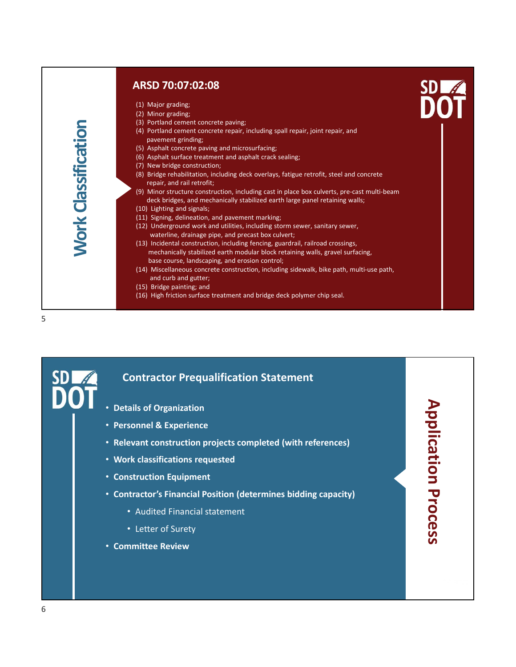5

# ARSD 70:07:02:08

- 
- 
- 
- **ARSD 70:07:02:08**<br>
(1) Major grading;<br>
(2) Minor grading;<br>
(2) Minor grading;<br>
(3) Portland cement concrete paving;<br>
(4) Portland cement concrete repair, including spall repair, joint repair, and<br>
pavement grinding;<br>
(5) **ARSD 70:07:02:08**<br>
(1) Major grading;<br>
(2) Minor grading;<br>
(3) Portland cement concrete paving;<br>
(3) Portland cement concrete paving;<br>
(3) Portland cement concrete repair, including spall repair, joint repair, and<br>
paveme
- 
- 
- 
- **ARSD 70:07:02:08**<br>
(1) Major grading;<br>
(2) Minor grading;<br>
(3) Portland cement concrete paving;<br>
(3) Portland cement concrete paving;<br>
(3) Portland cement concrete repair, including spall repair, joint repair, and<br>
(5) As **ARSD 70:07:02:08**<br>
(1) Major grading;<br>
(3) Portland cement concrete paving;<br>
(3) Portland cement concrete paving;<br>
(3) Portland cement concrete repair, including spall repair, joint repair, and<br>
(5) Asphalt concrete pavin **SD 70:07:02:08**<br>
Major grading;<br>
Minor grading;<br>
Portland cement concrete paving;<br>
Portland cement concrete repair, including spall repair, joint repair, and<br>
Portland cement correcte paving and microsurfacing;<br>
Asphalt
- **ARSD 70:07:02:08**<br>
(1) Major grading;<br>
(2) Minor grading;<br>
(2) Minor grading;<br>
(3) Portland cement concrete paving;<br>
(4) Portland cement concrete paving and microsurfacing;<br>
(5) Asphalt concrete paving and microsurfacing; **ARSD 70:07:02:08**<br>
(1) Major grading;<br>
(2) Mhor grading;<br>
(3) Portland cement concrete paving;<br>
(3) Portland cement concrete paving;<br>
(3) Portland cement and asphalt crack sealing;<br>
(5) Asphalt surface treatment and aspha **ARSD 70:07:02:08**<br>
(1) Major grading;<br>
(2) Minor grading;<br>
(3) Portland cement concrete paving;<br>
(3) Portland cement concrete repair, including spall repair, joint repair, and<br>
(3) Portland cement grinding;<br>
(5) Asphalt c (1) Major grading:<br>
(1) Major grading;<br>
(2) Dinor grading;<br>
(3) Portland cement concrete repair, including spall repair, joint repair, and<br>
(3) Oraphalt surface reatment and asphalt crack sealing;<br>
(5) Asphalt surface ters **SD 70:07:02:08**<br>
Major grading:<br>
Minor grading:<br>
Minor grading:<br>
Portland cement concrete paving;<br>
Portland cement concrete paving;<br>
Portland cement concrete paving and microsurfacing;<br>
Asphalt concrete paving and micros **ARSD 70:07:02:08**<br>
(1) Major grading:<br>
(2) Minor grading:<br>
(2) Minor straing:<br>
(3) Portland cement concrete paving;<br>
(4) Portland cement concrete repair, including spall repair, joint repair, and<br>
(4) Posphalt survicte ce
- 
- 
- 
- **SD 70:07:02:08**<br>
Major grading:<br>
Minor grading:<br>
Minor grading:<br>
Portland cement concrete paving;<br>
Portland cement concrete paving;<br>
Applait turically and microsurfacing;<br>
Asphalt surface treatment and asphalt crack scal **ARSD 70:07:02:08**<br>
(1) Major grading;<br>
(1) Major grading;<br>
(3) Portland cement concrete epavir, including spall repair, joint repair, and<br>
(3) Portland cement concrete epavir, including spall repair, joint repair, and<br>
( **ARSD 70:07:02:08**<br>
(1) Major grading;<br>
(2) Mnor grading;<br>
(2) Policy are active proving;<br>
(2) Portland cenner to concrete paving;<br>
(2) Portland cenner to concrete repair, including spall repair, joint repair, and<br>
(2) Ca **ARSD 70:07:02:08**<br>
(2) Moine grading:<br>
(2) Moine grading:<br>
(3) Deviatad cement concrete paving;<br>
(4) Portland cement concrete paving;<br>
(4) Portland cement concrete paving and microsuristic<br>
(5) Asphalt concrete paving an SD 70:07:02:08<br>Major grading;<br>Moror grading;<br>containd cement concrete peair, including spall repair, joint repair, and<br>orthod cement concrete peair, including spall repair, joint repair, and<br>werenet grading;<br>scephat concre **(13)** Incidental constrained the member of the product of the particle particle (41) orbital construction, (4) Derivation deness to the construction, (4) Derivation construction, including spall repair, joint repair, and **SD 70:07:02:08**<br>
Major grading:<br>
Morior grading:<br>
orbitand cement concrete paving;<br>
orbitand cement concrete paving;<br>
staphalt concrete paving and microsuration;<br>
staphalt starface treatment and asphalt crack sealing;<br>
s **SD 70:07:02:08**<br>
Major grading,<br>
Major grading,<br>
Cordiand cenent concrete paving, including spall repair, joint repair, and<br>
Dorthal cenent concrete repair, including spall repair, joint repair, and<br>
asymptement grading; (1) Major grading:<br>
(1) Misior grading:<br>
(2) Minor grading:<br>
(2) Minor grading:<br>
(3) Portland cement concrete repair, including spall repair, joint repair, and<br>
(5) Asphalt concrete paving and increasing:<br>
(6) Asphalt surf **SD 70:07:02:08**<br> **SD 70:07:02:08**<br> **SD** Major grading:<br>
Corolland cement concrete paving:<br>
corolland cement concrete paving:<br>
corolland cement concrete paving<br>
avement grinding;<br>
sphalt surface texturned and microsurfacin **ARSD 70:07:02:08**<br>
(1) Major grading;<br>
(2) Minor grading;<br>
(2) Minor grading;<br>
(2) Minor grading;<br>
(3) Portiand cement concrete paving;<br>
(4) Portiand cement concrete painting;<br>
(4) Portiand cement concrete painting;<br>
(5) (1) Moir grading:<br>
(2) Minor grading:<br>
(2) Noting regating:<br>
(2) Dertiand cement concrete paving;<br>
(4) Portland cement concrete paving<br>
(6) Asphalt concrete paving and microsurfacing;<br>
(5) Asphalt concrete paving and micro • deck bridges, and mechanically stabilized earth large panel retaining walls;<br>
(10) Lighting, defined<br>
(11) Siging, delinetion, and pavenent marking;<br>
(12) Underground work and utilities, including storm sewer, sanitar (11) Sping, delinetion, and payenent marking<br>
(12) Underground work and utilities, including storm sewer, sanitary sewer,<br>
(13) Incidented construction, including fencing, guardrail, railroad crossings,<br>
mechanically stab varieting, dinaste pers, and precata box cubrer;<br>
(13) incidental onstruction, including tending pair classifications,<br>
mechanically stabilized earth modulur block retaining walls, pravel surfacing,<br>
the classifications co
- (34) Bridge painting to morte construction, including sidewalk, bike path, multi-use path,<br>
(35) Bridge paintings and<br>
(36) High friction ourfoce treatment and bridge detk polymer chip seal.<br>
 Contractor Prequalification
	-
	-

# Contractor Prequalification Statement

- 
- 
- 
- 
- 
- Contractor Prequalification Statement<br>
 Details of Organization<br>
 Personnel & Experience<br>
 Relevant construction projects completed (with references)<br>
 Work classifications requested<br>
 Construction Equipment<br>
 Contra
	-
	-
- 

Application Process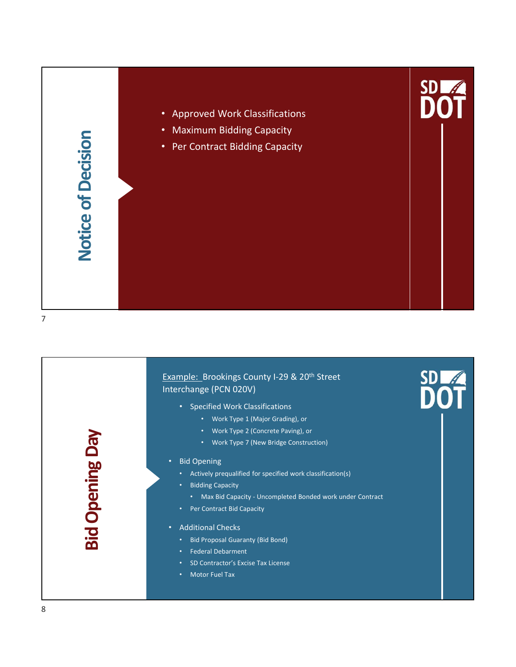![](_page_3_Figure_0.jpeg)

![](_page_3_Picture_1.jpeg)

- Specified Work Classifications
	- Work Type 1 (Major Grading), or
	- Work Type 2 (Concrete Paving), or
	- Work Type 7 (New Bridge Construction)

# • Bid Opening

7

• Actively prequalified for specified work classification(s) • Work Type 2 (Concrete Paving), or<br>• Work Type 7 (New Bridge Construction)<br>• Bid Opening<br>• Actively prequalified for specified work classification(s)<br>• Bidding Capacity<br>• Max Bid Capacity<br>• Per Contract Bid Capacity<br>• Add

## • Bidding Capacity

- 
- 

# • Additional Checks

- Bid Proposal Guaranty (Bid Bond)
- Federal Debarment
- SD Contractor's Excise Tax License
- 

8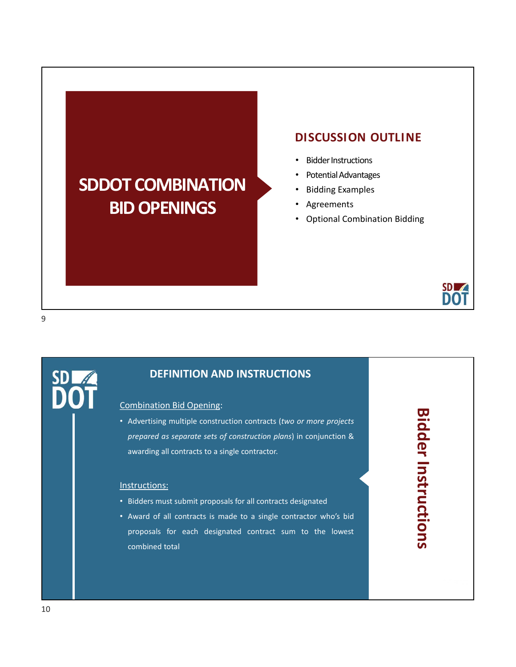# SDDOT COMBINATION BID OPENINGS

# DISCUSSION OUTLINE<br>
• Bidder Instructions<br>• Potential Advantages<br>• Bidding Examples

- Bidder Instructions
- Potential Advantages
- Bidding Examples
- **Agreements**
- Optional Combination Bidding

![](_page_4_Picture_7.jpeg)

**SD** 

# DEFINITION AND INSTRUCTIONS

Combination Bid Opening:<br>
Combination Bid Opening:<br>
Combination Bid Opening:<br>
Combination Bid Opening:<br>
Combination Bid Opening:<br>
Prepared as separate sets of construction plans) in conjunction &<br>
Advertising all contracts **SD ADDIT**<br> **DEFINITION AND INSTRUCTIONS**<br> **DEFINITION AND INSTRUCTIONS**<br>
Advertising multiple construction contracts (two or more projects<br>
prepared as separate sets of construction plans) in conjunction &<br> **Example 2014 SD 2008**<br> **DEFINITION AND INSTRUCTIONS**<br> **CONTRACTE CONTRACTIONS**<br> **CONTRACTES**<br> **CONTRACTES**<br> **CONTRACTES**<br> **CONTRACTES**<br> **CONTRACTES**<br> **CONTRACTES**<br> **CONTRACTES**<br> **CONTRACTES**<br> **CONTRACTES**<br> **CONTRACTES**<br> **CONTRACTES**<br>

# Instructions:

- 
- **DOT**<br> **DEFINITION AND INSTRUCTIONS**<br>
Combination Bid Opening:<br>
 Advertising multiple construction contracts (two or more projects<br> *prepared as seporate sets of construction plans*) in conjunction &<br>
awarding all contrac **• DEFINITION AND INSTRUCTIONS**<br>
Combination Bid Opening:<br>
• Advertising multiple construction contracts (two or more projects<br> *prepared as separate sets of construction plans*) in conjunction &<br>
awarding all contracts to **DEFINITION AND INSTRUCTIONS**<br>
Internation Bid Opening:<br>
Advertising multiple construction contracts (two or more projects<br>
prepared as separate sets of construction plans) in conjunction &<br>
awarding all contracts to a sin **DEFINITION AND INSTRUCTIONS**<br>
Internation Bid Opening:<br>
Advertising multiple construction contracts (two or more projects<br>
prepared as separate sets of construction plans) in conjunction &<br>
awarding all contracts to a sin

Bidder Instructions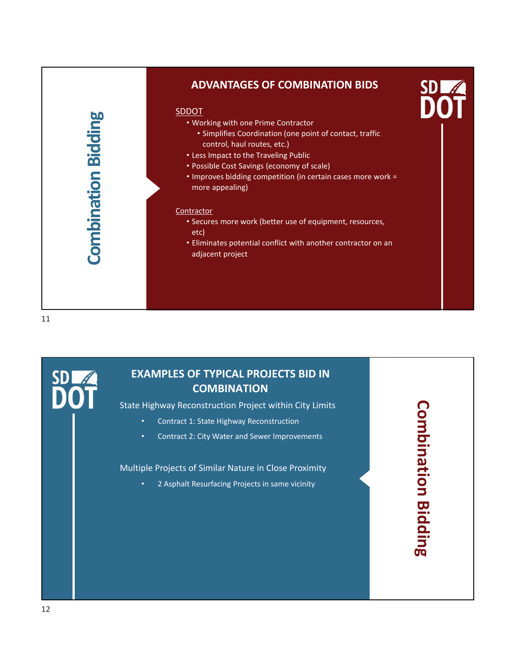![](_page_5_Figure_0.jpeg)

# EXAMPLES OF TYPICAL PROJECTS BID IN **COMBINATION**

- 
- 

Combination Bidding

SD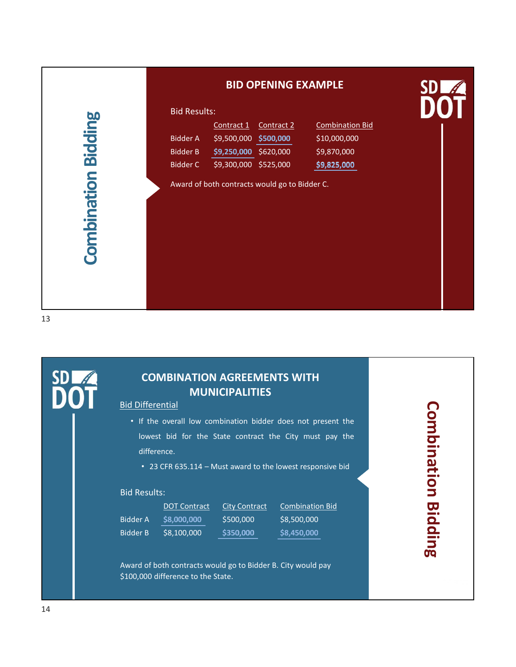| <b>Combination Bidding</b>     | <b>Bid Results:</b><br><b>Combination Bid</b><br>Contract 2<br>Contract 1<br><b>Bidder A</b><br>\$9,500,000 \$500,000<br>\$10,000,000<br><b>Bidder B</b><br>\$9,250,000 \$620,000<br>\$9,870,000<br>\$9,300,000 \$525,000<br><b>Bidder C</b><br>\$9,825,000<br>Award of both contracts would go to Bidder C. |                    |
|--------------------------------|--------------------------------------------------------------------------------------------------------------------------------------------------------------------------------------------------------------------------------------------------------------------------------------------------------------|--------------------|
| SDL<br><b>Bid Differential</b> | <b>COMBINATION AGREEMENTS WITH</b><br><b>MUNICIPALITIES</b><br>. If the overall low combination bidder does not present the<br>lowest bid for the State contract the City must pay the                                                                                                                       | <b>Combination</b> |

# COMBINATION AGREEMENTS WITH MUNICIPALITIES

- difference. COMBINATION AGREEMENTS WITH<br>
MUNICIPALITIES<br>
Bid Differential<br>
• If the overall low combination bidder does not present the<br>
lowest bid for the State contract the City must pay the<br>
• 23 CFR 635.114 – Must award to the low COMBINATION AGREEMENTS WITH<br>
Bid Differential<br>
• If the overall low combination bidder does not present the<br>
lowest bid for the State contract the City must pay the<br>
difference.<br>
• 23 CFR 635.114 – Must award to the lowest 13<br>
SD COMBINATI<br>
Bid Differential<br>
COMBINATI<br>
Bid Differential<br>
Combined by the overall low<br>
lowest bid for the difference.<br>
23 CFR 635.114<br>
Bid Results:<br>
DOT Contra<br>
Bid Results:<br>
Bid Results:<br>
Bidder A \$8,000,000
	-

# Bid Results:

|          | <b>DOT Contract</b> | <b>City Contract</b> | <b>Combination Bid</b> | Ug       |
|----------|---------------------|----------------------|------------------------|----------|
| Bidder A | \$8,000,000         | \$500,000            | \$8,500,000            | - 0<br>О |
| Bidder B | \$8,100,000         | \$350,000            | \$8,450,000            | Q<br>- - |

Award of both contracts would go to Bidder B. City would pay \$100,000 difference to the State.

Combination Bidding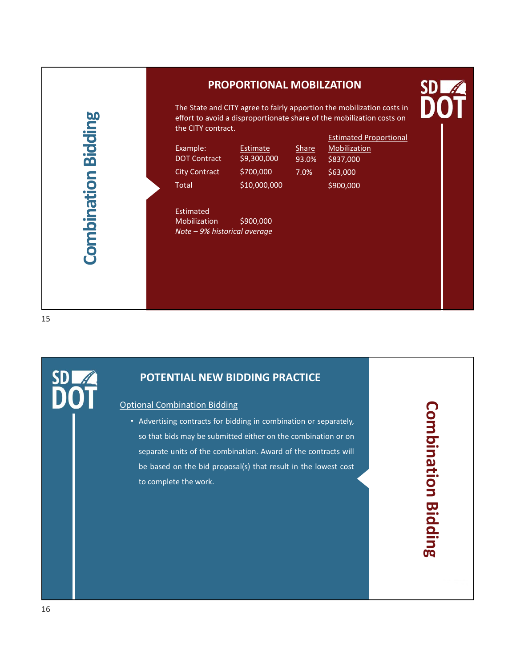# Combination Bidding (Combination Bidding Combination Bidding Combination Bidding Combination Bidding Combination Bidding Reserves Compiled Compilers (Compiled Compiled Compiled Compiled Compiled Compiled Compiled Compiled

# PROPORTIONAL MOBILZATION **SD**

The State and CITY agree to fairly apportion the mobilization costs in effort to avoid a disproportionate share of the mobilization costs on the CITY contract. **PROPORTIONAL MOBILZATION<br>
The State and CITY agree to fairly apportion the mobilization costs in<br>
effort to avoid a disproportionate share of the mobilization costs on<br>
the CITY contract.<br>
Example: Estimated Proportional<br> PROPORTIONAL MOBILZATION<br>
The State and CITY agree to fairly apportion the mobilization costs in<br>
effort to avoid a disproportionate share of the mobilization costs on<br>
the CITY contract.<br>
Example:<br>
Example: Extimate Spac PROPORTIONAL MOBILZATION<br>
The State and CITY agree to fairly apportion the mobilization costs in<br>
effort to avoid a disproportionale share of the mobilization costs on<br>
the CITY contract.<br>
Estimated Proportional<br>
DOT<br>
DOT PROPORTIONAL MOBILZATION**<br>
The State and CITY agree to fairly apportion the mobilization costs in<br>
effort to avoid a disproportionate share of the mobilization costs on<br>
the CITY contract<br>
Example:<br>
Example:<br>
Estimated S9 **PROPORTIONAL MOBILZATION<br>
The State and CITY agree to fairly apportion the mobilization costs in<br>
effort to avoid a disproportionate share of the mobilization costs on<br>
the CITY contract.<br>
Example:<br>
Example:<br>
Example:<br>
Ex** 

Estimated

\$10,000,000

Share Mobilization 93.0% \$837,000 7.0% \$63,000 Estimated Proportional \$900,000

15

**SD** 

# POTENTIAL NEW BIDDING PRACTICE

Estimated<br>
Mobilization \$900,000<br> *Note – 9% historical average*<br> **POTENTIAL NEW BIDDING PRACTICE**<br>
Optional Combination Bidding<br>
• Advertising contracts for bidding in combination or separately,<br>
so that bids may be submi Estimated<br>
Mobilization \$900,000<br>
Note – 9% historical overage<br>
POTENTIAL NEW BIDDING PRACTICE<br>
tional Combination Bidding<br>
• Advertising contracts for bidding in combination or separately,<br>
so that bids may be submitted e Note – 9% historical average<br>
POTENTIAL NEW BIDDING PRACTICE<br>
So that bids may be submitted either on the combination or separately,<br>
so that bids may be submitted either on the combination or on<br>
separate units of the com **POTENTIAL NEW BIDDING PRACTICE**<br>
Solution Didding<br>
Advertising contracts for bidding in combination or separately,<br>
so that bids may be submitted either on the combination or on<br>
separate units of the combination. Award o **POTENTIAL NEW BIDDING PRACTICE**<br>
Danal Combination Bidding<br>
Advertising contracts for bidding in combination or separately,<br>
so that bids may be submitted either on the combination or on<br>
separate units of the combination POTENTIAL NEW BIDDING PRACTICE<br>
onal Combination Bidding<br>
Advertising contracts for bidding in combination or separately,<br>
so that bids may be submitted either on the combination or on<br>
separate units of the combination. A

Combination Bidding